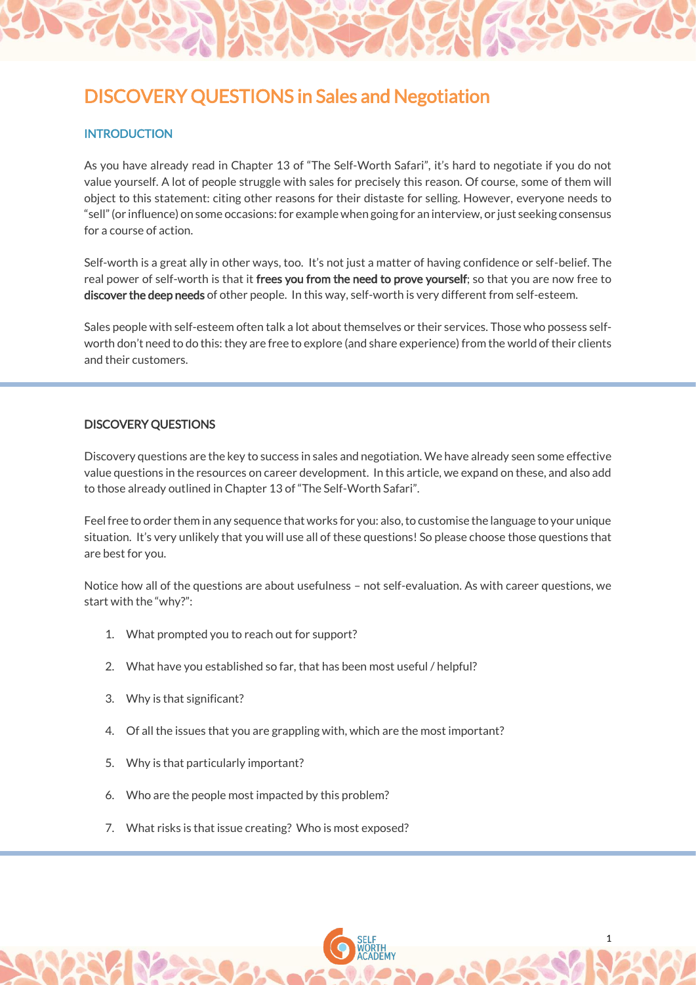# DISCOVERY QUESTIONS in Sales and Negotiation

## **INTRODUCTION**

As you have already read in Chapter 13 of "The Self-Worth Safari", it's hard to negotiate if you do not value yourself. A lot of people struggle with sales for precisely this reason. Of course, some of them will object to this statement: citing other reasons for their distaste for selling. However, everyone needs to "sell" (or influence) on some occasions: for example when going for an interview, or just seeking consensus for a course of action.

Self-worth is a great ally in other ways, too. It's not just a matter of having confidence or self-belief. The real power of self-worth is that it frees you from the need to prove yourself; so that you are now free to discover the deep needs of other people. In this way, self-worth is very different from self-esteem.

Sales people with self-esteem often talk a lot about themselves or their services. Those who possess selfworth don't need to do this: they are free to explore (and share experience) from the world of their clients and their customers.

## DISCOVERY QUESTIONS

Discovery questions are the key to success in sales and negotiation. We have already seen some effective value questions in the resources on career development. In this article, we expand on these, and also add to those already outlined in Chapter 13 of "The Self-Worth Safari".

Feel free to order them in any sequence that works for you: also, to customise the language to your unique situation. It's very unlikely that you will use all of these questions! So please choose those questions that are best for you.

Notice how all of the questions are about usefulness – not self-evaluation. As with career questions, we start with the "why?":

1

- 1. What prompted you to reach out for support?
- 2. What have you established so far, that has been most useful / helpful?
- 3. Why is that significant?
- 4. Of all the issues that you are grappling with, which are the most important?
- 5. Why is that particularly important?
- 6. Who are the people most impacted by this problem?
- 7. What risks is that issue creating? Who is most exposed?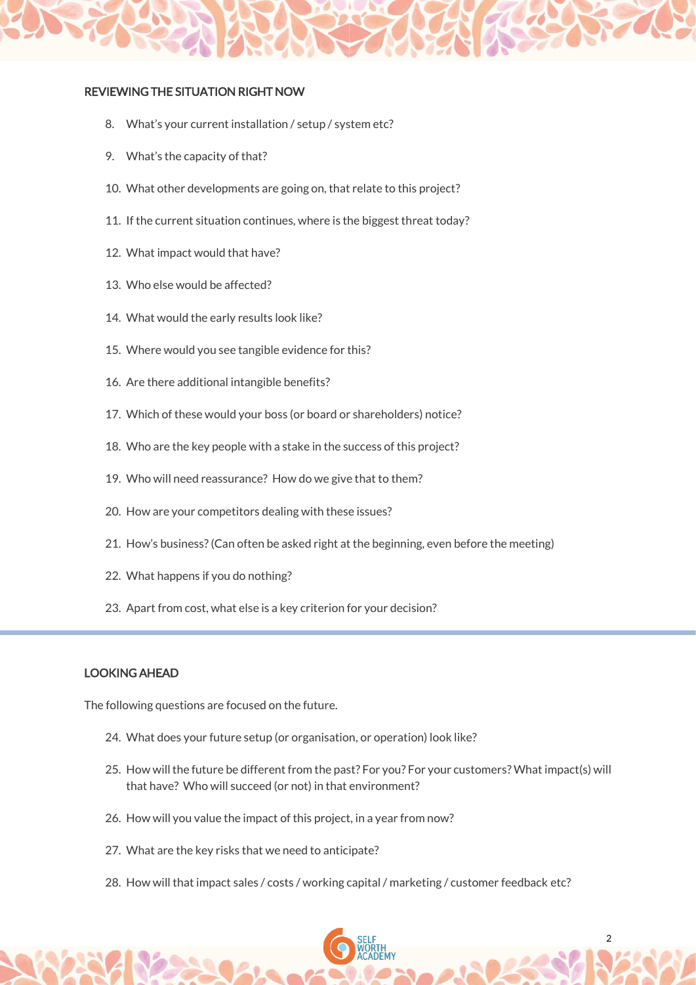### REVIEWING THE SITUATION RIGHT NOW

- 8. What's your current installation / setup / system etc?
- 9. What's the capacity of that?
- 10. What other developments are going on, that relate to this project?
- 11. If the current situation continues, where is the biggest threat today?
- 12. What impact would that have?
- 13. Who else would be affected?
- 14. What would the early results look like?
- 15. Where would you see tangible evidence for this?
- 16. Are there additional intangible benefits?
- 17. Which of these would your boss (or board or shareholders) notice?
- 18. Who are the key people with a stake in the success of this project?
- 19. Who will need reassurance? How do we give that to them?
- 20. How are your competitors dealing with these issues?
- 21. How's business? (Can often be asked right at the beginning, even before the meeting)
- 22. What happens if you do nothing?
- 23. Apart from cost, what else is a key criterion for your decision?

#### LOOKING AHEAD

The following questions are focused on the future.

- 24. What does your future setup (or organisation, or operation) look like?
- 25. How will the future be different from the past? For you? For your customers? What impact(s) will that have? Who will succeed (or not) in that environment?
- 26. How will you value the impact of this project, in a year from now?
- 27. What are the key risks that we need to anticipate?
- 28. How will that impact sales / costs / working capital / marketing / customer feedback etc?

2